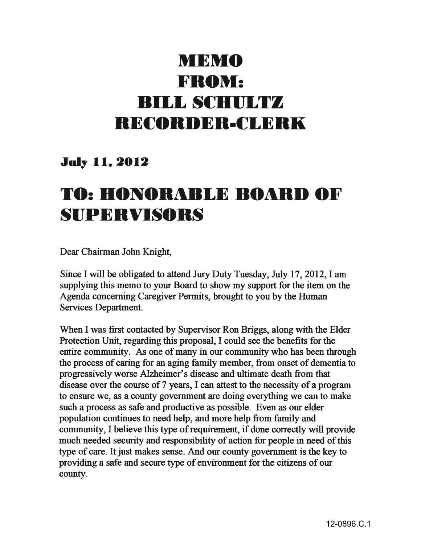## **MEMO FROM: BILL SCHULLY BECORDER-CLERK**

## **July 11, 2012**

## **TO: HONORABLE BOARD OF SIJPERVISOBS**

Dear Chairman John Knight,

Since I will be obligated to attend Jury Duty Tuesday, July 17, 2012, I am supplying this memo to your Board to show my support for the item on the Agenda concerning Caregiver Permits, brought to you by the Human Services Department.

When I was first contacted by Supervisor Ron Briggs, along with the Elder Protection Unit, regarding this proposal, I could see the benefits for the entire community. As one of many in our community who has been through the process of caring for an aging family member, from onset of dementia to progressively worse Alzheimer's disease and ultimate death from that disease over the course of 7 years, I can attest to the necessity of a program to ensure we, as a county government are doing everything we can to make such a process as safe and productive as possible. Even as our elder population continues to need help, and more help from family and community, I believe this type of requirement, if done correctly will provide much needed security and responsibility of action for people in need of this type of care. It just makes sense. And our county government is the key to providing a safe and secure type of environment for the citizens of our county.